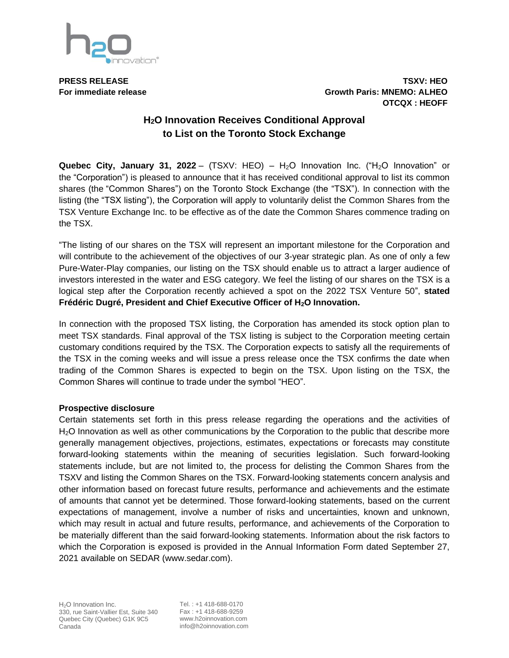

**PRESS RELEASE TSXV: HEO For immediate release Growth Paris: MNEMO: ALHEO OTCQX : HEOFF**

## **H2O Innovation Receives Conditional Approval to List on the Toronto Stock Exchange**

**Quebec City, January 31, 2022** – (TSXV: HEO) –  $H_2O$  Innovation Inc. (" $H_2O$  Innovation" or the "Corporation") is pleased to announce that it has received conditional approval to list its common shares (the "Common Shares") on the Toronto Stock Exchange (the "TSX"). In connection with the listing (the "TSX listing"), the Corporation will apply to voluntarily delist the Common Shares from the TSX Venture Exchange Inc. to be effective as of the date the Common Shares commence trading on the TSX.

"The listing of our shares on the TSX will represent an important milestone for the Corporation and will contribute to the achievement of the objectives of our 3-year strategic plan. As one of only a few Pure-Water-Play companies, our listing on the TSX should enable us to attract a larger audience of investors interested in the water and ESG category. We feel the listing of our shares on the TSX is a logical step after the Corporation recently achieved a spot on the 2022 TSX Venture 50", **stated Frédéric Dugré, President and Chief Executive Officer of H2O Innovation.**

In connection with the proposed TSX listing, the Corporation has amended its stock option plan to meet TSX standards. Final approval of the TSX listing is subject to the Corporation meeting certain customary conditions required by the TSX. The Corporation expects to satisfy all the requirements of the TSX in the coming weeks and will issue a press release once the TSX confirms the date when trading of the Common Shares is expected to begin on the TSX. Upon listing on the TSX, the Common Shares will continue to trade under the symbol "HEO".

## **Prospective disclosure**

Certain statements set forth in this press release regarding the operations and the activities of H<sub>2</sub>O Innovation as well as other communications by the Corporation to the public that describe more generally management objectives, projections, estimates, expectations or forecasts may constitute forward-looking statements within the meaning of securities legislation. Such forward-looking statements include, but are not limited to, the process for delisting the Common Shares from the TSXV and listing the Common Shares on the TSX. Forward-looking statements concern analysis and other information based on forecast future results, performance and achievements and the estimate of amounts that cannot yet be determined. Those forward-looking statements, based on the current expectations of management, involve a number of risks and uncertainties, known and unknown, which may result in actual and future results, performance, and achievements of the Corporation to be materially different than the said forward-looking statements. Information about the risk factors to which the Corporation is exposed is provided in the Annual Information Form dated September 27, 2021 available on SEDAR (www.sedar.com).

Tel. : +1 418-688-0170 Fax : +1 418-688-9259 www.h2oinnovation.com info@h2oinnovation.com